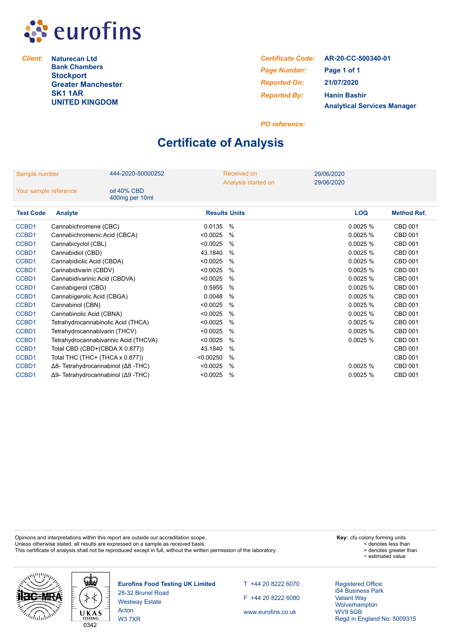

**Naturecan Ltd** *Client: Certificate Code:* **Bank Chambers Stockport Greater Manchester SK1 1AR UNITED KINGDOM**

*Reported On:* **21/07/2020** *Reported By:* **Hanin Bashir Analytical Services Manager Page 1 of 1 AR-20-CC-500340-01** *Page Number:*

*PO reference:*

# **Certificate of Analysis**

| Sample number         |                                                    | 444-2020-50000252             |                      | <b>Received on</b><br>Analysis started on | 29/06/2020<br>29/06/2020 |            |                    |
|-----------------------|----------------------------------------------------|-------------------------------|----------------------|-------------------------------------------|--------------------------|------------|--------------------|
| Your sample reference |                                                    | oil 40% CBD<br>400mg per 10ml |                      |                                           |                          |            |                    |
| <b>Test Code</b>      | <b>Analyte</b>                                     |                               | <b>Results Units</b> |                                           |                          | <b>LOQ</b> | <b>Method Ref.</b> |
| CCBD1                 | Cannabichromene (CBC)                              |                               | 0.0135               | %                                         |                          | 0.0025%    | <b>CBD 001</b>     |
| CCBD1                 | Cannabichromenic Acid (CBCA)                       |                               | < 0.0025             | $\%$                                      |                          | 0.0025%    | <b>CBD 001</b>     |
| CCBD1                 | Cannabicyclol (CBL)                                |                               | < 0.0025             | $\%$                                      |                          | 0.0025%    | <b>CBD 001</b>     |
| CCBD1                 | Cannabidiol (CBD)                                  |                               | 43.1840              | $\%$                                      |                          | 0.0025%    | CBD 001            |
| CCBD1                 | Cannabidiolic Acid (CBDA)                          |                               | < 0.0025             | $\%$                                      |                          | 0.0025%    | <b>CBD 001</b>     |
| CCBD1                 | Cannabidivarin (CBDV)                              |                               | < 0.0025             | $\%$                                      |                          | 0.0025%    | CBD 001            |
| CCBD1                 | Cannabidivarinic Acid (CBDVA)                      |                               | < 0.0025             | $\%$                                      |                          | 0.0025%    | <b>CBD 001</b>     |
| CCBD1                 | Cannabigerol (CBG)                                 |                               | 0.5955               | $\frac{0}{0}$                             |                          | 0.0025%    | CBD 001            |
| CCBD1                 | Cannabigerolic Acid (CBGA)                         |                               | 0.0048               | $\%$                                      |                          | 0.0025%    | CBD 001            |
| CCBD1                 | Cannabinol (CBN)                                   |                               | < 0.0025             | $\%$                                      |                          | 0.0025%    | <b>CBD 001</b>     |
| CCBD1                 | Cannabinolic Acid (CBNA)                           |                               | < 0.0025             | $\frac{0}{0}$                             |                          | 0.0025%    | <b>CBD 001</b>     |
| CCBD1                 | Tetrahydrocannabinolic Acid (THCA)                 |                               | < 0.0025             | $\%$                                      |                          | 0.0025%    | CBD 001            |
| CCBD1                 | Tetrahydrocannabivarin (THCV)                      |                               | < 0.0025             | $\frac{0}{0}$                             |                          | 0.0025%    | <b>CBD 001</b>     |
| CCBD1                 | Tetrahydrocannabivarinic Acid (THCVA)              |                               | < 0.0025             | $\%$                                      |                          | 0.0025%    | <b>CBD 001</b>     |
| CCBD1                 | Total CBD (CBD+(CBDA X 0.877))                     |                               | 43.1840              | $\%$                                      |                          |            | <b>CBD 001</b>     |
| CCBD1                 | Total THC (THC+ (THCA x 0.877))                    |                               | < 0.00250            | $\%$                                      |                          |            | <b>CBD 001</b>     |
| CCBD1                 | Δ8- Tetrahydrocannabinol (Δ8-THC)                  |                               | < 0.0025             | $\frac{0}{0}$                             |                          | 0.0025%    | <b>CBD 001</b>     |
| CCBD1                 | $\Delta$ 9- Tetrahydrocannabinol ( $\Delta$ 9-THC) |                               | < 0.0025             | $\%$                                      |                          | 0.0025%    | CBD 001            |

Opinions and interpretations within this report are outside our accreditation scope. Unless otherwise stated, all results are expressed on a sample as received basis. This certificate of analysis shall not be reproduced except in full, without the written permission of the laboratory. **Key:** cfu colony forming units < denotes less than > denotes greater than ~ estimated value



**Eurofins Food Testing UK Limited** 28-32 Brunel Road Westway Estate Acton **IKAS** W3 7XR

0342

T +44 20 8222 6070 F +44 20 8222 6080 www.eurofins.co.uk

Registered Office: i54 Business Park Valiant Way Wolverhampton WV9 5GB Regd in England No: 5009315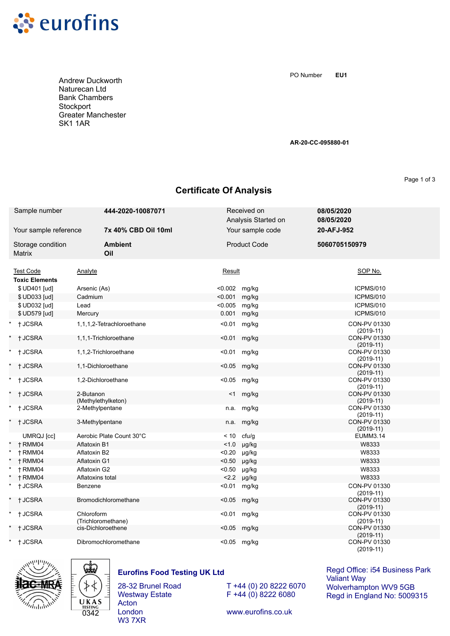

**EU1** PO Number

**AR-20-CC-095880-01**

Page 1 of 3

## **Certificate Of Analysis**

| Sample number         |                                           | 444-2020-10087071 |                           | Received on<br>Analysis Started on | 08/05/2020<br>08/05/2020 |                             |
|-----------------------|-------------------------------------------|-------------------|---------------------------|------------------------------------|--------------------------|-----------------------------|
| Your sample reference |                                           |                   | 7x 40% CBD Oil 10ml       |                                    | Your sample code         | 20-AFJ-952                  |
|                       | Storage condition<br>Matrix               |                   | <b>Ambient</b><br>Oil     |                                    | <b>Product Code</b>      | 5060705150979               |
|                       | <b>Test Code</b><br><b>Toxic Elements</b> | Analyte           |                           | Result                             |                          | SOP No.                     |
|                       | \$ UD401 [ud]                             | Arsenic (As)      |                           | <0.002 mg/kg                       |                          | ICPMS/010                   |
|                       | \$ UD033 [ud]                             | Cadmium           |                           | < 0.001                            | mg/kg                    | ICPMS/010                   |
|                       | \$ UD032 [ud]                             | Lead              |                           | < 0.005                            | mg/kg                    | ICPMS/010                   |
|                       | \$ UD579 [ud]                             | Mercury           |                           | 0.001                              | mg/kg                    | ICPMS/010                   |
|                       | <b>†JCSRA</b>                             |                   | 1,1,1,2-Tetrachloroethane | < 0.01                             | mg/kg                    | CON-PV 01330<br>$(2019-11)$ |
|                       | <b>+JCSRA</b>                             |                   | 1,1,1-Trichloroethane     | < 0.01                             | mg/kg                    | CON-PV 01330<br>$(2019-11)$ |
|                       | † JCSRA                                   |                   | 1,1,2-Trichloroethane     | < 0.01                             | mg/kg                    | CON-PV 01330<br>$(2019-11)$ |
|                       | † JCSRA                                   |                   | 1,1-Dichloroethane        | < 0.05                             | mg/kg                    | CON-PV 01330<br>$(2019-11)$ |
|                       | † JCSRA                                   |                   | 1,2-Dichloroethane        | < 0.05                             | mg/kg                    | CON-PV 01330<br>$(2019-11)$ |
|                       | † JCSRA                                   | 2-Butanon         | (Methylethylketon)        | $<$ 1                              | mg/kg                    | CON-PV 01330<br>$(2019-11)$ |
|                       | † JCSRA                                   | 2-Methylpentane   |                           | n.a.                               | mg/kg                    | CON-PV 01330<br>$(2019-11)$ |
|                       | * †JCSRA                                  | 3-Methylpentane   |                           | n.a.                               | mg/kg                    | CON-PV 01330<br>$(2019-11)$ |
|                       | UMRQJ [cc]                                |                   | Aerobic Plate Count 30°C  | < 10                               | cfu/g                    | <b>EUMM3.14</b>             |
|                       | +RMM04                                    | Aflatoxin B1      |                           | 1.0                                | µg/kg                    | W8333                       |
|                       | † RMM04                                   | Aflatoxin B2      |                           | < 0.20                             | µg/kg                    | W8333                       |
|                       | † RMM04                                   | Aflatoxin G1      |                           | < 0.50                             | µg/kg                    | W8333                       |
|                       | +RMM04                                    | Aflatoxin G2      |                           | < 0.50                             | µg/kg                    | W8333                       |
|                       | † RMM04                                   | Aflatoxins total  |                           | 2.2                                | µg/kg                    | W8333                       |
|                       | <b>†JCSRA</b>                             | Benzene           |                           | < 0.01                             | mg/kg                    | CON-PV 01330<br>$(2019-11)$ |
|                       | <b>†JCSRA</b>                             |                   | Bromodichloromethane      | < 0.05                             | mg/kg                    | CON-PV 01330<br>$(2019-11)$ |
|                       | <b>†JCSRA</b>                             | Chloroform        | (Trichloromethane)        | < 0.01                             | mg/kg                    | CON-PV 01330<br>$(2019-11)$ |
|                       | <b>†JCSRA</b>                             |                   | cis-Dichloroethene        | < 0.05                             | mg/kg                    | CON-PV 01330<br>$(2019-11)$ |
|                       | + JCSRA                                   |                   | Dibromochloromethane      |                                    | <0.05 mg/kg              | CON-PV 01330<br>$(2019-11)$ |





## **Eurofins Food Testing UK Ltd**

28-32 Brunel Road Westway Estate Acton London W3 7XR

T +44 (0) 20 8222 6070  $F + 44 (0) 8222 6080$ 

Regd Office: i54 Business Park Valiant Way Wolverhampton WV9 5GB Regd in England No: 5009315

www.eurofins.co.uk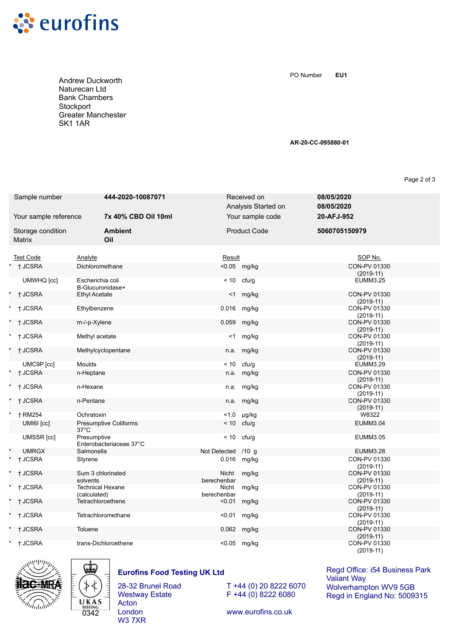

**EU1** PO Number

**AR-20-CC-095880-01**

Page 2 of 3

| Sample number               |                  |                                         | 444-2020-10087071            |                      | Received on<br>Analysis Started on | 08/05/2020<br>08/05/2020       |
|-----------------------------|------------------|-----------------------------------------|------------------------------|----------------------|------------------------------------|--------------------------------|
| Your sample reference       |                  |                                         | 7x 40% CBD Oil 10ml          |                      | Your sample code                   | 20-AFJ-952                     |
| Storage condition<br>Matrix |                  |                                         | <b>Ambient</b><br>Oil        |                      | <b>Product Code</b>                | 5060705150979                  |
|                             | <b>Test Code</b> | Analyte                                 |                              | Result               |                                    | SOP No.                        |
|                             | † JCSRA          | Dichloromethane                         |                              |                      | <0.05 mg/kg                        | CON-PV 01330                   |
|                             | UMWHQ [cc]       | Escherichia coli<br>B-Glucuronidase+    |                              |                      | $< 10$ cfu/g                       | $(2019-11)$<br><b>EUMM3.25</b> |
|                             | * † JCSRA        | <b>Ethyl Acetate</b>                    |                              |                      | <1 mg/kg                           | CON-PV 01330<br>$(2019-11)$    |
|                             | * + JCSRA        | Ethylbenzene                            |                              |                      | 0.016 mg/kg                        | CON-PV 01330<br>$(2019-11)$    |
|                             | † JCSRA          | m-/-p-Xylene                            |                              |                      | 0.059 mg/kg                        | CON-PV 01330<br>$(2019-11)$    |
|                             | + JCSRA          | Methyl acetate                          |                              | <1                   | mg/kg                              | CON-PV 01330<br>$(2019-11)$    |
|                             | † JCSRA          | Methylcyclopentane                      |                              |                      | n.a. mg/kg                         | CON-PV 01330<br>$(2019-11)$    |
|                             | UMC9P [cc]       | <b>Moulds</b>                           |                              |                      | $< 10$ cfu/g                       | <b>EUMM3.29</b>                |
|                             | * † JCSRA        | n-Heptane                               |                              |                      | n.a. mg/kg                         | CON-PV 01330<br>$(2019-11)$    |
|                             | * †JCSRA         | n-Hexane                                |                              |                      | n.a. mg/kg                         | CON-PV 01330<br>$(2019-11)$    |
|                             | * †JCSRA         | n-Pentane                               |                              |                      | n.a. mg/kg                         | CON-PV 01330<br>$(2019-11)$    |
|                             | $*$ + RM254      | Ochratoxin                              |                              |                      | $< 1.0$ µg/kg                      | W8322                          |
|                             | UMI6I [cc]       | $37^{\circ}$ C                          | <b>Presumptive Coliforms</b> |                      | $< 10$ cfu/g                       | EUMM3.04                       |
|                             | UMSSR [cc]       | Presumptive                             | Enterobacteriaceae 37°C      |                      | $< 10$ cfu/g                       | <b>EUMM3.05</b>                |
|                             | <b>UMRGX</b>     | Salmonella                              |                              | Not Detected /10 g   |                                    | <b>EUMM3.28</b>                |
|                             | <b>†JCSRA</b>    | Styrene                                 |                              |                      | 0.016 mg/kg                        | CON-PV 01330<br>$(2019-11)$    |
|                             | * † JCSRA        | Sum 3 chlorinated<br>solvents           |                              | Nicht<br>berechenbar | mg/kg                              | CON-PV 01330<br>$(2019-11)$    |
|                             | † JCSRA          | <b>Technical Hexane</b><br>(calculated) |                              | Nicht<br>berechenbar | mg/kg                              | CON-PV 01330<br>$(2019-11)$    |
|                             | † JCSRA          | Tetrachloroethene                       |                              | < 0.01               | mg/kg                              | CON-PV 01330<br>$(2019-11)$    |
|                             | † JCSRA          | Tetrachloromethane                      |                              | < 0.01               | mg/kg                              | CON-PV 01330<br>$(2019-11)$    |
|                             | * † JCSRA        | Toluene                                 |                              |                      | 0.062 mg/kg                        | CON-PV 01330<br>$(2019-11)$    |
|                             | * †JCSRA         |                                         | trans-Dichloroethene         |                      | <0.05 mg/kg                        | CON-PV 01330<br>$(2019-11)$    |





### **Eurofins Food Testing UK Ltd**

28-32 Brunel Road Westway Estate Acton London W3 7XR

T +44 (0) 20 8222 6070  $F + 44 (0) 8222 6080$ 

Regd Office: i54 Business Park Valiant Way Wolverhampton WV9 5GB Regd in England No: 5009315

www.eurofins.co.uk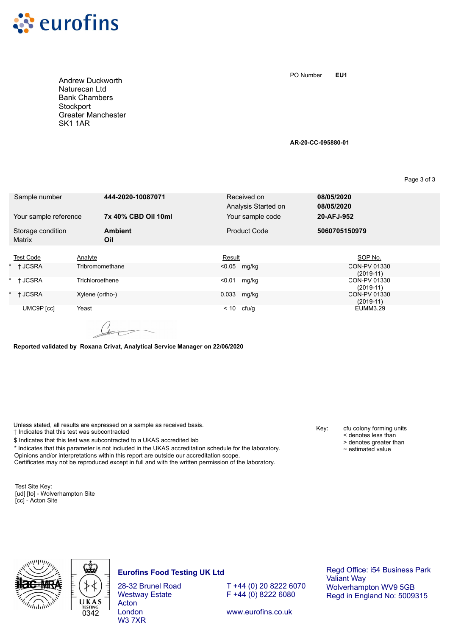

**EU1** PO Number

**AR-20-CC-095880-01**

| Sample number         |                                    |                 | 444-2020-10087071   |  | Received on<br>Analysis Started on | 08/05/2020<br>08/05/2020 |                             |  |
|-----------------------|------------------------------------|-----------------|---------------------|--|------------------------------------|--------------------------|-----------------------------|--|
| Your sample reference |                                    |                 | 7x 40% CBD Oil 10ml |  | Your sample code                   |                          | 20-AFJ-952                  |  |
|                       | Storage condition<br><b>Matrix</b> | Oil             | <b>Ambient</b>      |  | <b>Product Code</b>                | 5060705150979            |                             |  |
|                       |                                    |                 |                     |  |                                    |                          |                             |  |
|                       | <b>Test Code</b>                   | Analyte         |                     |  | Result                             |                          | SOP No.                     |  |
|                       | * + JCSRA                          | Tribromomethane |                     |  | $< 0.05$ mg/kg                     |                          | CON-PV 01330<br>$(2019-11)$ |  |
| *                     | <b>+JCSRA</b>                      | Trichloroethene |                     |  | $< 0.01$ mg/kg                     |                          | CON-PV 01330<br>$(2019-11)$ |  |
| $\star$               | <b>+JCSRA</b>                      | Xylene (ortho-) |                     |  | $0.033$ mg/kg                      |                          | CON-PV 01330<br>$(2019-11)$ |  |
|                       | UMC9P [cc]                         | Yeast           |                     |  | < 10<br>cfu/g                      |                          | <b>EUMM3.29</b>             |  |
|                       |                                    | $\sqrt{2}$      |                     |  |                                    |                          |                             |  |

 $C_{\text{max}}$ 

**Reported validated by Roxana Crivat, Analytical Service Manager on 22/06/2020**

Unless stated, all results are expressed on a sample as received basis. Uniess stated, all results are expressed on a sample as received basis.<br>
Thidicates that this test was subcontracted the subcontracted Key: cfu colony forming units \$ Indicates that this test was subcontracted to a UKAS accredited lab

\* Indicates that this parameter is not included in the UKAS accreditation schedule for the laboratory. Opinions and/or interpretations within this report are outside our accreditation scope. Certificates may not be reproduced except in full and with the written permission of the laboratory.

Test Site Key: [ud] [to] - Wolverhampton Site [cc] - Acton Site

- < denotes less than
	- $>$  denotes greater than  $\sim$  estimated value



#### **Eurofins Food Testing UK Ltd**

28-32 Brunel Road Westway Estate Acton London W3 7XR

T +44 (0) 20 8222 6070 F +44 (0) 8222 6080

Regd Office: i54 Business Park Valiant Way Wolverhampton WV9 5GB Regd in England No: 5009315

www.eurofins.co.uk